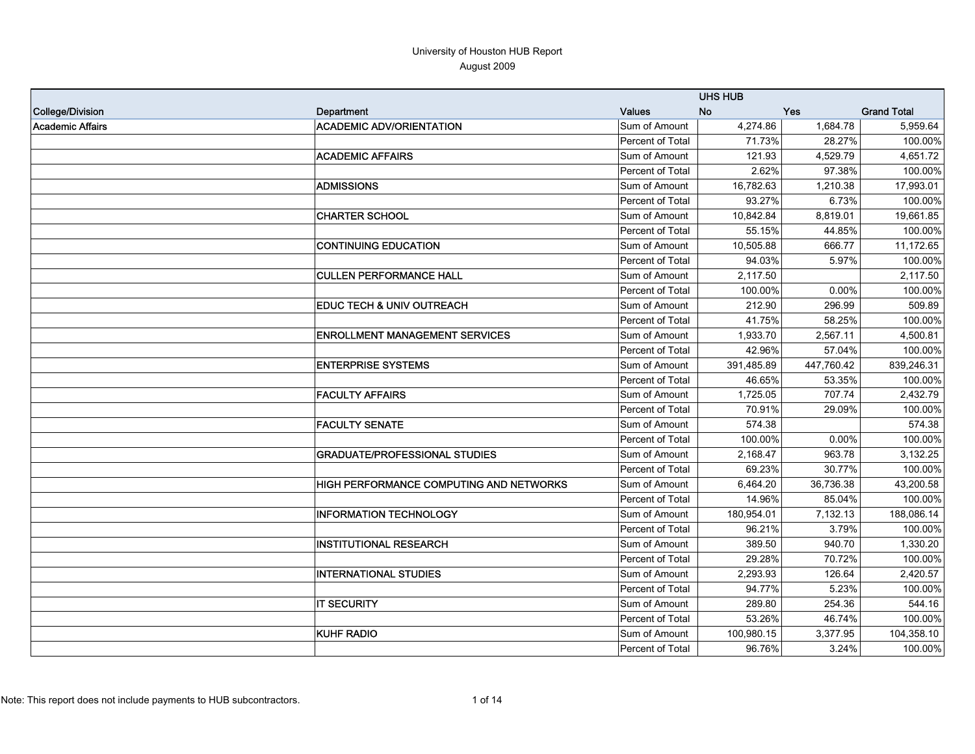|                         |                                                |                         | <b>UHS HUB</b> |            |                    |
|-------------------------|------------------------------------------------|-------------------------|----------------|------------|--------------------|
| College/Division        | Department                                     | <b>Values</b>           | <b>No</b>      | Yes        | <b>Grand Total</b> |
| <b>Academic Affairs</b> | <b>ACADEMIC ADV/ORIENTATION</b>                | Sum of Amount           | 4,274.86       | 1,684.78   | 5,959.64           |
|                         |                                                | Percent of Total        | 71.73%         | 28.27%     | 100.00%            |
|                         | <b>ACADEMIC AFFAIRS</b>                        | Sum of Amount           | 121.93         | 4,529.79   | 4,651.72           |
|                         |                                                | Percent of Total        | 2.62%          | 97.38%     | 100.00%            |
|                         | <b>ADMISSIONS</b>                              | Sum of Amount           | 16,782.63      | 1,210.38   | 17,993.01          |
|                         |                                                | Percent of Total        | 93.27%         | 6.73%      | 100.00%            |
|                         | <b>CHARTER SCHOOL</b>                          | Sum of Amount           | 10,842.84      | 8,819.01   | 19,661.85          |
|                         |                                                | <b>Percent of Total</b> | 55.15%         | 44.85%     | 100.00%            |
|                         | <b>CONTINUING EDUCATION</b>                    | Sum of Amount           | 10,505.88      | 666.77     | 11,172.65          |
|                         |                                                | <b>Percent of Total</b> | 94.03%         | 5.97%      | 100.00%            |
|                         | <b>CULLEN PERFORMANCE HALL</b>                 | Sum of Amount           | 2,117.50       |            | 2,117.50           |
|                         |                                                | Percent of Total        | 100.00%        | 0.00%      | 100.00%            |
|                         | <b>EDUC TECH &amp; UNIV OUTREACH</b>           | Sum of Amount           | 212.90         | 296.99     | 509.89             |
|                         |                                                | Percent of Total        | 41.75%         | 58.25%     | 100.00%            |
|                         | <b>ENROLLMENT MANAGEMENT SERVICES</b>          | Sum of Amount           | 1,933.70       | 2,567.11   | 4,500.81           |
|                         |                                                | Percent of Total        | 42.96%         | 57.04%     | 100.00%            |
|                         | <b>ENTERPRISE SYSTEMS</b>                      | Sum of Amount           | 391,485.89     | 447,760.42 | 839,246.31         |
|                         |                                                | Percent of Total        | 46.65%         | 53.35%     | 100.00%            |
|                         | <b>FACULTY AFFAIRS</b>                         | Sum of Amount           | 1,725.05       | 707.74     | 2,432.79           |
|                         |                                                | Percent of Total        | 70.91%         | 29.09%     | 100.00%            |
|                         | <b>FACULTY SENATE</b>                          | Sum of Amount           | 574.38         |            | 574.38             |
|                         |                                                | Percent of Total        | 100.00%        | 0.00%      | 100.00%            |
|                         | <b>GRADUATE/PROFESSIONAL STUDIES</b>           | Sum of Amount           | 2,168.47       | 963.78     | 3,132.25           |
|                         |                                                | Percent of Total        | 69.23%         | 30.77%     | 100.00%            |
|                         | <b>HIGH PERFORMANCE COMPUTING AND NETWORKS</b> | Sum of Amount           | 6,464.20       | 36,736.38  | 43,200.58          |
|                         |                                                | Percent of Total        | 14.96%         | 85.04%     | 100.00%            |
|                         | <b>INFORMATION TECHNOLOGY</b>                  | Sum of Amount           | 180,954.01     | 7,132.13   | 188,086.14         |
|                         |                                                | Percent of Total        | 96.21%         | 3.79%      | 100.00%            |
|                         | <b>INSTITUTIONAL RESEARCH</b>                  | Sum of Amount           | 389.50         | 940.70     | 1,330.20           |
|                         |                                                | Percent of Total        | 29.28%         | 70.72%     | 100.00%            |
|                         | <b>INTERNATIONAL STUDIES</b>                   | Sum of Amount           | 2,293.93       | 126.64     | 2,420.57           |
|                         |                                                | Percent of Total        | 94.77%         | 5.23%      | 100.00%            |
|                         | <b>IT SECURITY</b>                             | Sum of Amount           | 289.80         | 254.36     | 544.16             |
|                         |                                                | <b>Percent of Total</b> | 53.26%         | 46.74%     | 100.00%            |
|                         | <b>KUHF RADIO</b>                              | Sum of Amount           | 100,980.15     | 3,377.95   | 104,358.10         |
|                         |                                                | Percent of Total        | 96.76%         | 3.24%      | 100.00%            |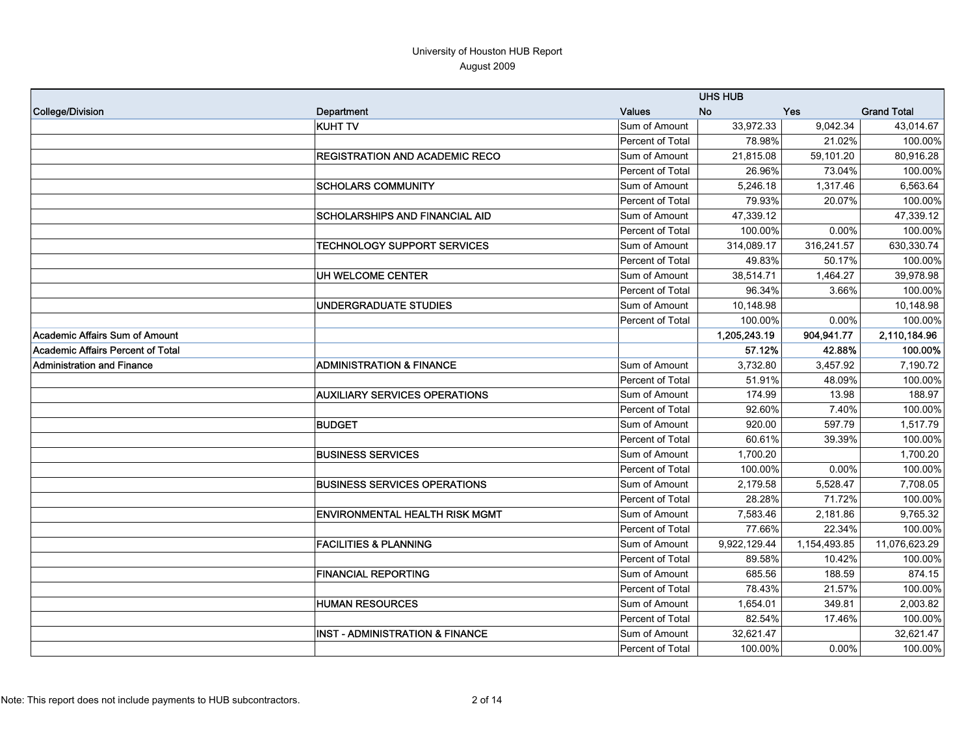|                                   |                                            |                  | <b>UHS HUB</b> |              |                    |
|-----------------------------------|--------------------------------------------|------------------|----------------|--------------|--------------------|
| College/Division                  | Department                                 | <b>Values</b>    | <b>No</b>      | Yes          | <b>Grand Total</b> |
|                                   | <b>KUHT TV</b>                             | Sum of Amount    | 33,972.33      | 9,042.34     | 43,014.67          |
|                                   |                                            | Percent of Total | 78.98%         | 21.02%       | 100.00%            |
|                                   | <b>REGISTRATION AND ACADEMIC RECO</b>      | Sum of Amount    | 21,815.08      | 59,101.20    | 80,916.28          |
|                                   |                                            | Percent of Total | 26.96%         | 73.04%       | 100.00%            |
|                                   | <b>SCHOLARS COMMUNITY</b>                  | Sum of Amount    | 5,246.18       | 1,317.46     | 6,563.64           |
|                                   |                                            | Percent of Total | 79.93%         | 20.07%       | 100.00%            |
|                                   | <b>SCHOLARSHIPS AND FINANCIAL AID</b>      | Sum of Amount    | 47,339.12      |              | 47,339.12          |
|                                   |                                            | Percent of Total | 100.00%        | 0.00%        | 100.00%            |
|                                   | <b>TECHNOLOGY SUPPORT SERVICES</b>         | Sum of Amount    | 314,089.17     | 316,241.57   | 630,330.74         |
|                                   |                                            | Percent of Total | 49.83%         | 50.17%       | 100.00%            |
|                                   | UH WELCOME CENTER                          | Sum of Amount    | 38,514.71      | 1,464.27     | 39,978.98          |
|                                   |                                            | Percent of Total | 96.34%         | 3.66%        | 100.00%            |
|                                   | UNDERGRADUATE STUDIES                      | Sum of Amount    | 10,148.98      |              | 10,148.98          |
|                                   |                                            | Percent of Total | 100.00%        | 0.00%        | 100.00%            |
| Academic Affairs Sum of Amount    |                                            |                  | 1,205,243.19   | 904,941.77   | 2,110,184.96       |
| Academic Affairs Percent of Total |                                            |                  | 57.12%         | 42.88%       | 100.00%            |
| <b>Administration and Finance</b> | <b>ADMINISTRATION &amp; FINANCE</b>        | Sum of Amount    | 3,732.80       | 3,457.92     | 7,190.72           |
|                                   |                                            | Percent of Total | 51.91%         | 48.09%       | 100.00%            |
|                                   | <b>AUXILIARY SERVICES OPERATIONS</b>       | Sum of Amount    | 174.99         | 13.98        | 188.97             |
|                                   |                                            | Percent of Total | 92.60%         | 7.40%        | 100.00%            |
|                                   | <b>BUDGET</b>                              | Sum of Amount    | 920.00         | 597.79       | 1,517.79           |
|                                   |                                            | Percent of Total | 60.61%         | 39.39%       | 100.00%            |
|                                   | <b>BUSINESS SERVICES</b>                   | Sum of Amount    | 1,700.20       |              | 1,700.20           |
|                                   |                                            | Percent of Total | 100.00%        | 0.00%        | 100.00%            |
|                                   | <b>BUSINESS SERVICES OPERATIONS</b>        | Sum of Amount    | 2,179.58       | 5,528.47     | 7,708.05           |
|                                   |                                            | Percent of Total | 28.28%         | 71.72%       | 100.00%            |
|                                   | <b>ENVIRONMENTAL HEALTH RISK MGMT</b>      | Sum of Amount    | 7,583.46       | 2,181.86     | 9,765.32           |
|                                   |                                            | Percent of Total | 77.66%         | 22.34%       | 100.00%            |
|                                   | <b>FACILITIES &amp; PLANNING</b>           | Sum of Amount    | 9,922,129.44   | 1,154,493.85 | 11,076,623.29      |
|                                   |                                            | Percent of Total | 89.58%         | 10.42%       | 100.00%            |
|                                   | <b>FINANCIAL REPORTING</b>                 | Sum of Amount    | 685.56         | 188.59       | 874.15             |
|                                   |                                            | Percent of Total | 78.43%         | 21.57%       | 100.00%            |
|                                   | <b>HUMAN RESOURCES</b>                     | Sum of Amount    | 1,654.01       | 349.81       | 2,003.82           |
|                                   |                                            | Percent of Total | 82.54%         | 17.46%       | 100.00%            |
|                                   | <b>INST - ADMINISTRATION &amp; FINANCE</b> | Sum of Amount    | 32,621.47      |              | 32,621.47          |
|                                   |                                            | Percent of Total | 100.00%        | 0.00%        | 100.00%            |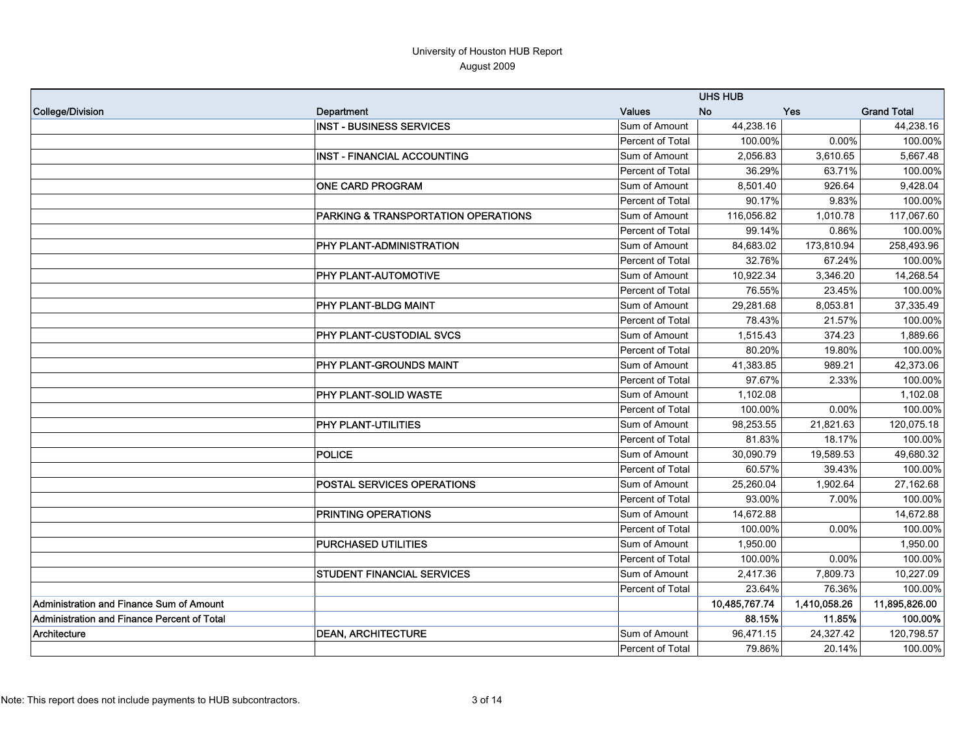|                                             |                                                |                         | <b>UHS HUB</b> |              |                    |
|---------------------------------------------|------------------------------------------------|-------------------------|----------------|--------------|--------------------|
| College/Division                            | Department                                     | <b>Values</b>           | <b>No</b>      | Yes          | <b>Grand Total</b> |
|                                             | <b>INST - BUSINESS SERVICES</b>                | Sum of Amount           | 44,238.16      |              | 44,238.16          |
|                                             |                                                | Percent of Total        | 100.00%        | 0.00%        | 100.00%            |
|                                             | INST - FINANCIAL ACCOUNTING                    | Sum of Amount           | 2,056.83       | 3,610.65     | 5,667.48           |
|                                             |                                                | Percent of Total        | 36.29%         | 63.71%       | 100.00%            |
|                                             | <b>ONE CARD PROGRAM</b>                        | Sum of Amount           | 8,501.40       | 926.64       | 9,428.04           |
|                                             |                                                | Percent of Total        | 90.17%         | 9.83%        | 100.00%            |
|                                             | <b>PARKING &amp; TRANSPORTATION OPERATIONS</b> | Sum of Amount           | 116,056.82     | 1,010.78     | 117,067.60         |
|                                             |                                                | Percent of Total        | 99.14%         | 0.86%        | 100.00%            |
|                                             | PHY PLANT-ADMINISTRATION                       | Sum of Amount           | 84,683.02      | 173,810.94   | 258,493.96         |
|                                             |                                                | Percent of Total        | 32.76%         | 67.24%       | 100.00%            |
|                                             | <b>PHY PLANT-AUTOMOTIVE</b>                    | Sum of Amount           | 10,922.34      | 3,346.20     | 14,268.54          |
|                                             |                                                | Percent of Total        | 76.55%         | 23.45%       | 100.00%            |
|                                             | PHY PLANT-BLDG MAINT                           | Sum of Amount           | 29,281.68      | 8,053.81     | 37,335.49          |
|                                             |                                                | Percent of Total        | 78.43%         | 21.57%       | 100.00%            |
|                                             | <b>PHY PLANT-CUSTODIAL SVCS</b>                | Sum of Amount           | 1,515.43       | 374.23       | 1,889.66           |
|                                             |                                                | Percent of Total        | 80.20%         | 19.80%       | 100.00%            |
|                                             | PHY PLANT-GROUNDS MAINT                        | Sum of Amount           | 41,383.85      | 989.21       | 42,373.06          |
|                                             |                                                | Percent of Total        | 97.67%         | 2.33%        | 100.00%            |
|                                             | <b>PHY PLANT-SOLID WASTE</b>                   | Sum of Amount           | 1,102.08       |              | 1,102.08           |
|                                             |                                                | Percent of Total        | 100.00%        | 0.00%        | 100.00%            |
|                                             | <b>PHY PLANT-UTILITIES</b>                     | Sum of Amount           | 98,253.55      | 21,821.63    | 120,075.18         |
|                                             |                                                | Percent of Total        | 81.83%         | 18.17%       | 100.00%            |
|                                             | <b>POLICE</b>                                  | Sum of Amount           | 30,090.79      | 19,589.53    | 49,680.32          |
|                                             |                                                | Percent of Total        | 60.57%         | 39.43%       | 100.00%            |
|                                             | <b>POSTAL SERVICES OPERATIONS</b>              | Sum of Amount           | 25,260.04      | 1,902.64     | 27,162.68          |
|                                             |                                                | Percent of Total        | 93.00%         | 7.00%        | 100.00%            |
|                                             | <b>PRINTING OPERATIONS</b>                     | Sum of Amount           | 14,672.88      |              | 14,672.88          |
|                                             |                                                | Percent of Total        | 100.00%        | 0.00%        | 100.00%            |
|                                             | <b>PURCHASED UTILITIES</b>                     | Sum of Amount           | 1,950.00       |              | 1,950.00           |
|                                             |                                                | Percent of Total        | 100.00%        | 0.00%        | 100.00%            |
|                                             | <b>STUDENT FINANCIAL SERVICES</b>              | Sum of Amount           | 2,417.36       | 7,809.73     | 10,227.09          |
|                                             |                                                | Percent of Total        | 23.64%         | 76.36%       | 100.00%            |
| Administration and Finance Sum of Amount    |                                                |                         | 10,485,767.74  | 1,410,058.26 | 11,895,826.00      |
| Administration and Finance Percent of Total |                                                |                         | 88.15%         | 11.85%       | 100.00%            |
| Architecture                                | <b>DEAN, ARCHITECTURE</b>                      | Sum of Amount           | 96,471.15      | 24,327.42    | 120,798.57         |
|                                             |                                                | <b>Percent of Total</b> | 79.86%         | 20.14%       | 100.00%            |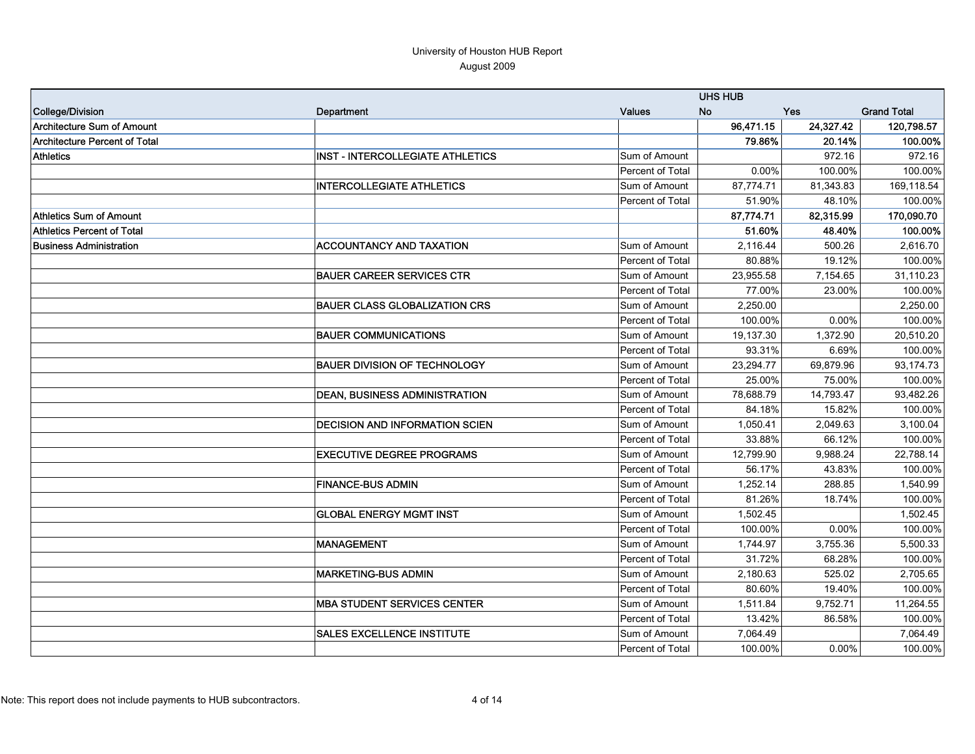|                                      |                                         |                  | <b>UHS HUB</b> |           |                    |
|--------------------------------------|-----------------------------------------|------------------|----------------|-----------|--------------------|
| <b>College/Division</b>              | Department                              | <b>Values</b>    | No             | Yes       | <b>Grand Total</b> |
| <b>Architecture Sum of Amount</b>    |                                         |                  | 96,471.15      | 24,327.42 | 120,798.57         |
| <b>Architecture Percent of Total</b> |                                         |                  | 79.86%         | 20.14%    | 100.00%            |
| <b>Athletics</b>                     | <b>INST - INTERCOLLEGIATE ATHLETICS</b> | Sum of Amount    |                | 972.16    | 972.16             |
|                                      |                                         | Percent of Total | 0.00%          | 100.00%   | 100.00%            |
|                                      | <b>INTERCOLLEGIATE ATHLETICS</b>        | Sum of Amount    | 87,774.71      | 81,343.83 | 169,118.54         |
|                                      |                                         | Percent of Total | 51.90%         | 48.10%    | 100.00%            |
| <b>Athletics Sum of Amount</b>       |                                         |                  | 87,774.71      | 82,315.99 | 170,090.70         |
| <b>Athletics Percent of Total</b>    |                                         |                  | 51.60%         | 48.40%    | 100.00%            |
| <b>Business Administration</b>       | <b>ACCOUNTANCY AND TAXATION</b>         | Sum of Amount    | 2,116.44       | 500.26    | 2,616.70           |
|                                      |                                         | Percent of Total | 80.88%         | 19.12%    | 100.00%            |
|                                      | <b>BAUER CAREER SERVICES CTR</b>        | Sum of Amount    | 23,955.58      | 7,154.65  | 31,110.23          |
|                                      |                                         | Percent of Total | 77.00%         | 23.00%    | 100.00%            |
|                                      | <b>BAUER CLASS GLOBALIZATION CRS</b>    | Sum of Amount    | 2,250.00       |           | 2,250.00           |
|                                      |                                         | Percent of Total | 100.00%        | 0.00%     | 100.00%            |
|                                      | <b>BAUER COMMUNICATIONS</b>             | Sum of Amount    | 19,137.30      | 1,372.90  | 20,510.20          |
|                                      |                                         | Percent of Total | 93.31%         | 6.69%     | 100.00%            |
|                                      | <b>BAUER DIVISION OF TECHNOLOGY</b>     | Sum of Amount    | 23,294.77      | 69,879.96 | 93,174.73          |
|                                      |                                         | Percent of Total | 25.00%         | 75.00%    | 100.00%            |
|                                      | <b>DEAN, BUSINESS ADMINISTRATION</b>    | Sum of Amount    | 78,688.79      | 14,793.47 | 93,482.26          |
|                                      |                                         | Percent of Total | 84.18%         | 15.82%    | 100.00%            |
|                                      | <b>DECISION AND INFORMATION SCIEN</b>   | Sum of Amount    | 1,050.41       | 2,049.63  | 3,100.04           |
|                                      |                                         | Percent of Total | 33.88%         | 66.12%    | 100.00%            |
|                                      | <b>EXECUTIVE DEGREE PROGRAMS</b>        | Sum of Amount    | 12,799.90      | 9,988.24  | 22,788.14          |
|                                      |                                         | Percent of Total | 56.17%         | 43.83%    | 100.00%            |
|                                      | <b>FINANCE-BUS ADMIN</b>                | Sum of Amount    | 1,252.14       | 288.85    | 1,540.99           |
|                                      |                                         | Percent of Total | 81.26%         | 18.74%    | 100.00%            |
|                                      | <b>GLOBAL ENERGY MGMT INST</b>          | Sum of Amount    | 1,502.45       |           | 1,502.45           |
|                                      |                                         | Percent of Total | 100.00%        | 0.00%     | 100.00%            |
|                                      | <b>MANAGEMENT</b>                       | Sum of Amount    | 1,744.97       | 3,755.36  | 5,500.33           |
|                                      |                                         | Percent of Total | 31.72%         | 68.28%    | 100.00%            |
|                                      | <b>MARKETING-BUS ADMIN</b>              | Sum of Amount    | 2,180.63       | 525.02    | 2,705.65           |
|                                      |                                         | Percent of Total | 80.60%         | 19.40%    | 100.00%            |
|                                      | <b>MBA STUDENT SERVICES CENTER</b>      | Sum of Amount    | 1,511.84       | 9,752.71  | 11,264.55          |
|                                      |                                         | Percent of Total | 13.42%         | 86.58%    | 100.00%            |
|                                      | <b>SALES EXCELLENCE INSTITUTE</b>       | Sum of Amount    | 7,064.49       |           | 7,064.49           |
|                                      |                                         | Percent of Total | 100.00%        | 0.00%     | 100.00%            |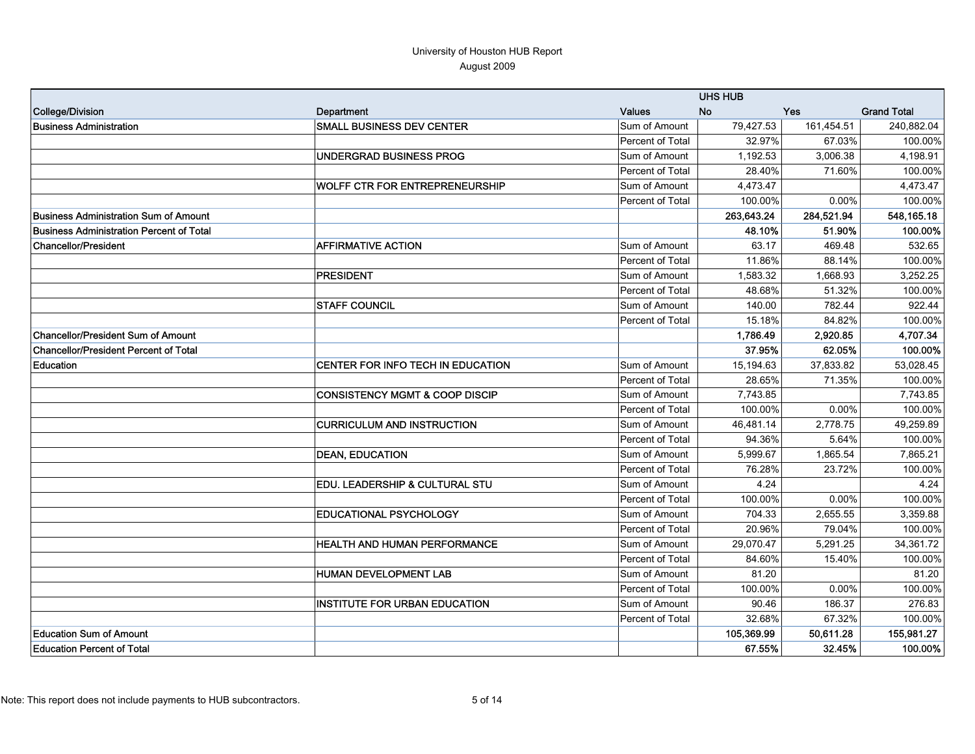|                                                 |                                           |                  | <b>UHS HUB</b> |            |                    |
|-------------------------------------------------|-------------------------------------------|------------------|----------------|------------|--------------------|
| <b>College/Division</b>                         | Department                                | <b>Values</b>    | <b>No</b>      | Yes        | <b>Grand Total</b> |
| <b>Business Administration</b>                  | <b>SMALL BUSINESS DEV CENTER</b>          | Sum of Amount    | 79,427.53      | 161,454.51 | 240,882.04         |
|                                                 |                                           | Percent of Total | 32.97%         | 67.03%     | 100.00%            |
|                                                 | UNDERGRAD BUSINESS PROG                   | Sum of Amount    | 1,192.53       | 3,006.38   | 4,198.91           |
|                                                 |                                           | Percent of Total | 28.40%         | 71.60%     | 100.00%            |
|                                                 | <b>WOLFF CTR FOR ENTREPRENEURSHIP</b>     | Sum of Amount    | 4.473.47       |            | 4,473.47           |
|                                                 |                                           | Percent of Total | 100.00%        | 0.00%      | 100.00%            |
| <b>Business Administration Sum of Amount</b>    |                                           |                  | 263,643.24     | 284,521.94 | 548,165.18         |
| <b>Business Administration Percent of Total</b> |                                           |                  | 48.10%         | 51.90%     | 100.00%            |
| <b>Chancellor/President</b>                     | <b>AFFIRMATIVE ACTION</b>                 | Sum of Amount    | 63.17          | 469.48     | 532.65             |
|                                                 |                                           | Percent of Total | 11.86%         | 88.14%     | 100.00%            |
|                                                 | <b>PRESIDENT</b>                          | Sum of Amount    | 1,583.32       | 1,668.93   | 3,252.25           |
|                                                 |                                           | Percent of Total | 48.68%         | 51.32%     | 100.00%            |
|                                                 | <b>STAFF COUNCIL</b>                      | Sum of Amount    | 140.00         | 782.44     | 922.44             |
|                                                 |                                           | Percent of Total | 15.18%         | 84.82%     | 100.00%            |
| <b>Chancellor/President Sum of Amount</b>       |                                           |                  | 1,786.49       | 2,920.85   | 4,707.34           |
| <b>Chancellor/President Percent of Total</b>    |                                           |                  | 37.95%         | 62.05%     | 100.00%            |
| Education                                       | CENTER FOR INFO TECH IN EDUCATION         | Sum of Amount    | 15,194.63      | 37,833.82  | 53,028.45          |
|                                                 |                                           | Percent of Total | 28.65%         | 71.35%     | 100.00%            |
|                                                 | <b>CONSISTENCY MGMT &amp; COOP DISCIP</b> | Sum of Amount    | 7,743.85       |            | 7,743.85           |
|                                                 |                                           | Percent of Total | 100.00%        | $0.00\%$   | 100.00%            |
|                                                 | <b>CURRICULUM AND INSTRUCTION</b>         | Sum of Amount    | 46,481.14      | 2,778.75   | 49,259.89          |
|                                                 |                                           | Percent of Total | 94.36%         | 5.64%      | 100.00%            |
|                                                 | <b>DEAN, EDUCATION</b>                    | Sum of Amount    | 5,999.67       | 1,865.54   | 7,865.21           |
|                                                 |                                           | Percent of Total | 76.28%         | 23.72%     | 100.00%            |
|                                                 | EDU. LEADERSHIP & CULTURAL STU            | Sum of Amount    | 4.24           |            | 4.24               |
|                                                 |                                           | Percent of Total | 100.00%        | 0.00%      | 100.00%            |
|                                                 | <b>EDUCATIONAL PSYCHOLOGY</b>             | Sum of Amount    | 704.33         | 2,655.55   | 3.359.88           |
|                                                 |                                           | Percent of Total | 20.96%         | 79.04%     | 100.00%            |
|                                                 | HEALTH AND HUMAN PERFORMANCE              | Sum of Amount    | 29,070.47      | 5,291.25   | 34,361.72          |
|                                                 |                                           | Percent of Total | 84.60%         | 15.40%     | 100.00%            |
|                                                 | <b>HUMAN DEVELOPMENT LAB</b>              | Sum of Amount    | 81.20          |            | 81.20              |
|                                                 |                                           | Percent of Total | 100.00%        | 0.00%      | 100.00%            |
|                                                 | <b>INSTITUTE FOR URBAN EDUCATION</b>      | Sum of Amount    | 90.46          | 186.37     | 276.83             |
|                                                 |                                           | Percent of Total | 32.68%         | 67.32%     | 100.00%            |
| <b>Education Sum of Amount</b>                  |                                           |                  | 105,369.99     | 50,611.28  | 155,981.27         |
| <b>Education Percent of Total</b>               |                                           |                  | 67.55%         | 32.45%     | 100.00%            |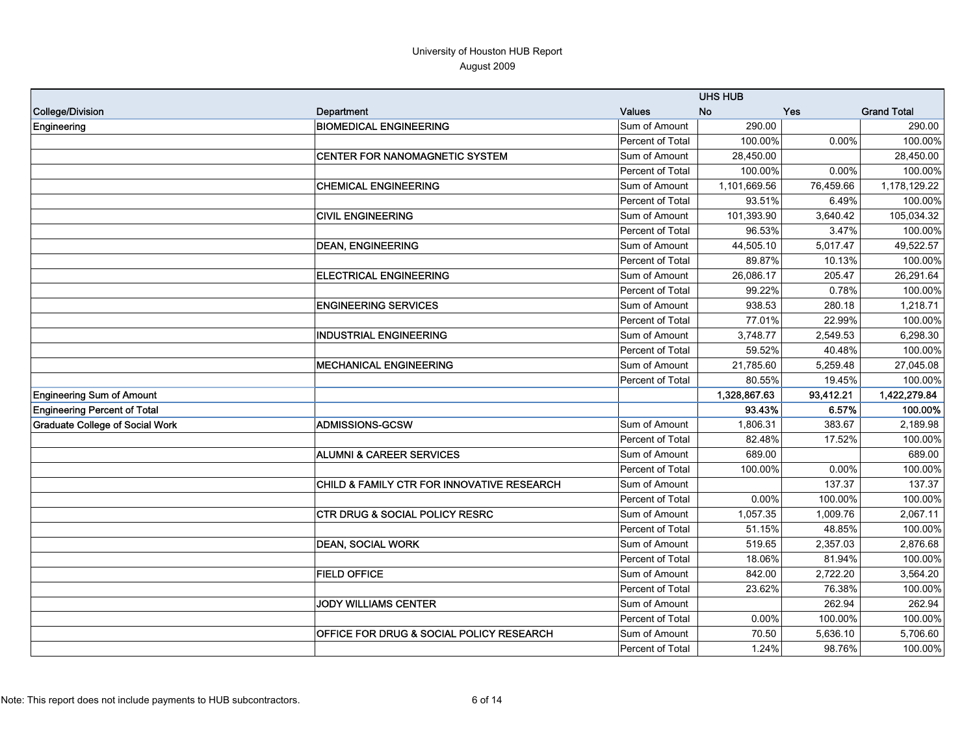|                                        |                                                     |                  | <b>UHS HUB</b> |           |                    |
|----------------------------------------|-----------------------------------------------------|------------------|----------------|-----------|--------------------|
| College/Division                       | Department                                          | <b>Values</b>    | <b>No</b>      | Yes       | <b>Grand Total</b> |
| Engineering                            | <b>BIOMEDICAL ENGINEERING</b>                       | Sum of Amount    | 290.00         |           | 290.00             |
|                                        |                                                     | Percent of Total | 100.00%        | 0.00%     | 100.00%            |
|                                        | CENTER FOR NANOMAGNETIC SYSTEM                      | Sum of Amount    | 28,450.00      |           | 28,450.00          |
|                                        |                                                     | Percent of Total | 100.00%        | 0.00%     | 100.00%            |
|                                        | <b>CHEMICAL ENGINEERING</b>                         | Sum of Amount    | 1,101,669.56   | 76,459.66 | 1,178,129.22       |
|                                        |                                                     | Percent of Total | 93.51%         | 6.49%     | 100.00%            |
|                                        | <b>CIVIL ENGINEERING</b>                            | Sum of Amount    | 101,393.90     | 3,640.42  | 105,034.32         |
|                                        |                                                     | Percent of Total | 96.53%         | 3.47%     | 100.00%            |
|                                        | <b>DEAN, ENGINEERING</b>                            | Sum of Amount    | 44,505.10      | 5,017.47  | 49,522.57          |
|                                        |                                                     | Percent of Total | 89.87%         | 10.13%    | 100.00%            |
|                                        | <b>ELECTRICAL ENGINEERING</b>                       | Sum of Amount    | 26,086.17      | 205.47    | 26,291.64          |
|                                        |                                                     | Percent of Total | 99.22%         | 0.78%     | 100.00%            |
|                                        | <b>ENGINEERING SERVICES</b>                         | Sum of Amount    | 938.53         | 280.18    | 1,218.71           |
|                                        |                                                     | Percent of Total | 77.01%         | 22.99%    | 100.00%            |
|                                        | <b>INDUSTRIAL ENGINEERING</b>                       | Sum of Amount    | 3,748.77       | 2,549.53  | 6,298.30           |
|                                        |                                                     | Percent of Total | 59.52%         | 40.48%    | 100.00%            |
|                                        | <b>MECHANICAL ENGINEERING</b>                       | Sum of Amount    | 21,785.60      | 5,259.48  | 27,045.08          |
|                                        |                                                     | Percent of Total | 80.55%         | 19.45%    | 100.00%            |
| <b>Engineering Sum of Amount</b>       |                                                     |                  | 1,328,867.63   | 93,412.21 | 1,422,279.84       |
| <b>Engineering Percent of Total</b>    |                                                     |                  | 93.43%         | 6.57%     | 100.00%            |
| <b>Graduate College of Social Work</b> | <b>ADMISSIONS-GCSW</b>                              | Sum of Amount    | 1,806.31       | 383.67    | 2,189.98           |
|                                        |                                                     | Percent of Total | 82.48%         | 17.52%    | 100.00%            |
|                                        | <b>ALUMNI &amp; CAREER SERVICES</b>                 | Sum of Amount    | 689.00         |           | 689.00             |
|                                        |                                                     | Percent of Total | 100.00%        | 0.00%     | 100.00%            |
|                                        | CHILD & FAMILY CTR FOR INNOVATIVE RESEARCH          | Sum of Amount    |                | 137.37    | 137.37             |
|                                        |                                                     | Percent of Total | 0.00%          | 100.00%   | 100.00%            |
|                                        | <b>CTR DRUG &amp; SOCIAL POLICY RESRC</b>           | Sum of Amount    | 1,057.35       | 1,009.76  | 2,067.11           |
|                                        |                                                     | Percent of Total | 51.15%         | 48.85%    | 100.00%            |
|                                        | <b>DEAN, SOCIAL WORK</b>                            | Sum of Amount    | 519.65         | 2,357.03  | 2,876.68           |
|                                        |                                                     | Percent of Total | 18.06%         | 81.94%    | 100.00%            |
|                                        | <b>FIELD OFFICE</b>                                 | Sum of Amount    | 842.00         | 2,722.20  | 3,564.20           |
|                                        |                                                     | Percent of Total | 23.62%         | 76.38%    | 100.00%            |
|                                        | <b>JODY WILLIAMS CENTER</b>                         | Sum of Amount    |                | 262.94    | 262.94             |
|                                        |                                                     | Percent of Total | 0.00%          | 100.00%   | 100.00%            |
|                                        | <b>OFFICE FOR DRUG &amp; SOCIAL POLICY RESEARCH</b> | Sum of Amount    | 70.50          | 5,636.10  | 5,706.60           |
|                                        |                                                     | Percent of Total | 1.24%          | 98.76%    | 100.00%            |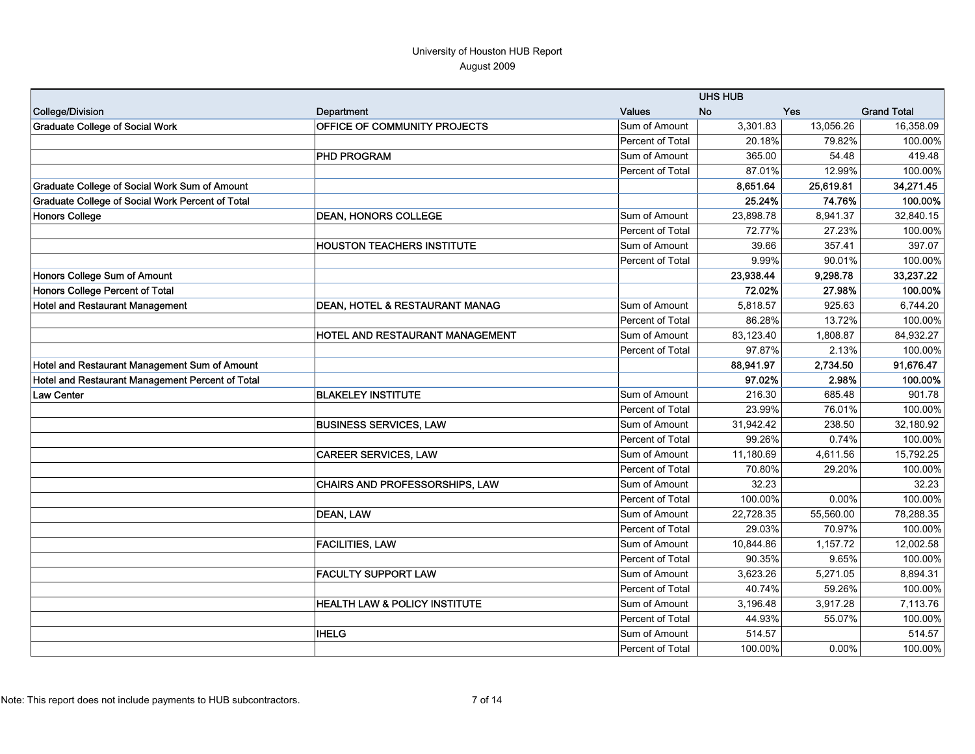|                                                  |                                           |                  | <b>UHS HUB</b> |           |                    |
|--------------------------------------------------|-------------------------------------------|------------------|----------------|-----------|--------------------|
| College/Division                                 | Department                                | <b>Values</b>    | <b>No</b>      | Yes       | <b>Grand Total</b> |
| <b>Graduate College of Social Work</b>           | <b>OFFICE OF COMMUNITY PROJECTS</b>       | Sum of Amount    | 3,301.83       | 13,056.26 | 16,358.09          |
|                                                  |                                           | Percent of Total | 20.18%         | 79.82%    | 100.00%            |
|                                                  | <b>PHD PROGRAM</b>                        | Sum of Amount    | 365.00         | 54.48     | 419.48             |
|                                                  |                                           | Percent of Total | 87.01%         | 12.99%    | 100.00%            |
| Graduate College of Social Work Sum of Amount    |                                           |                  | 8,651.64       | 25,619.81 | 34,271.45          |
| Graduate College of Social Work Percent of Total |                                           |                  | 25.24%         | 74.76%    | 100.00%            |
| <b>Honors College</b>                            | <b>DEAN, HONORS COLLEGE</b>               | Sum of Amount    | 23,898.78      | 8,941.37  | 32,840.15          |
|                                                  |                                           | Percent of Total | 72.77%         | 27.23%    | 100.00%            |
|                                                  | <b>HOUSTON TEACHERS INSTITUTE</b>         | Sum of Amount    | 39.66          | 357.41    | 397.07             |
|                                                  |                                           | Percent of Total | 9.99%          | 90.01%    | 100.00%            |
| Honors College Sum of Amount                     |                                           |                  | 23,938.44      | 9,298.78  | 33,237.22          |
| Honors College Percent of Total                  |                                           |                  | 72.02%         | 27.98%    | 100.00%            |
| Hotel and Restaurant Management                  | <b>DEAN, HOTEL &amp; RESTAURANT MANAG</b> | Sum of Amount    | 5,818.57       | 925.63    | 6,744.20           |
|                                                  |                                           | Percent of Total | 86.28%         | 13.72%    | 100.00%            |
|                                                  | <b>HOTEL AND RESTAURANT MANAGEMENT</b>    | Sum of Amount    | 83,123.40      | 1,808.87  | 84,932.27          |
|                                                  |                                           | Percent of Total | 97.87%         | 2.13%     | 100.00%            |
| Hotel and Restaurant Management Sum of Amount    |                                           |                  | 88,941.97      | 2,734.50  | 91,676.47          |
| Hotel and Restaurant Management Percent of Total |                                           |                  | 97.02%         | 2.98%     | 100.00%            |
| <b>Law Center</b>                                | <b>BLAKELEY INSTITUTE</b>                 | Sum of Amount    | 216.30         | 685.48    | 901.78             |
|                                                  |                                           | Percent of Total | 23.99%         | 76.01%    | 100.00%            |
|                                                  | <b>BUSINESS SERVICES, LAW</b>             | Sum of Amount    | 31,942.42      | 238.50    | 32,180.92          |
|                                                  |                                           | Percent of Total | 99.26%         | 0.74%     | 100.00%            |
|                                                  | <b>CAREER SERVICES, LAW</b>               | Sum of Amount    | 11,180.69      | 4,611.56  | 15,792.25          |
|                                                  |                                           | Percent of Total | 70.80%         | 29.20%    | 100.00%            |
|                                                  | CHAIRS AND PROFESSORSHIPS, LAW            | Sum of Amount    | 32.23          |           | 32.23              |
|                                                  |                                           | Percent of Total | 100.00%        | 0.00%     | 100.00%            |
|                                                  | <b>DEAN, LAW</b>                          | Sum of Amount    | 22.728.35      | 55.560.00 | 78.288.35          |
|                                                  |                                           | Percent of Total | 29.03%         | 70.97%    | 100.00%            |
|                                                  | <b>FACILITIES, LAW</b>                    | Sum of Amount    | 10,844.86      | 1,157.72  | 12,002.58          |
|                                                  |                                           | Percent of Total | 90.35%         | 9.65%     | 100.00%            |
|                                                  | <b>FACULTY SUPPORT LAW</b>                | Sum of Amount    | 3,623.26       | 5,271.05  | 8,894.31           |
|                                                  |                                           | Percent of Total | 40.74%         | 59.26%    | 100.00%            |
|                                                  | <b>HEALTH LAW &amp; POLICY INSTITUTE</b>  | Sum of Amount    | 3,196.48       | 3,917.28  | 7,113.76           |
|                                                  |                                           | Percent of Total | 44.93%         | 55.07%    | 100.00%            |
|                                                  | <b>IHELG</b>                              | Sum of Amount    | 514.57         |           | 514.57             |
|                                                  |                                           | Percent of Total | 100.00%        | 0.00%     | 100.00%            |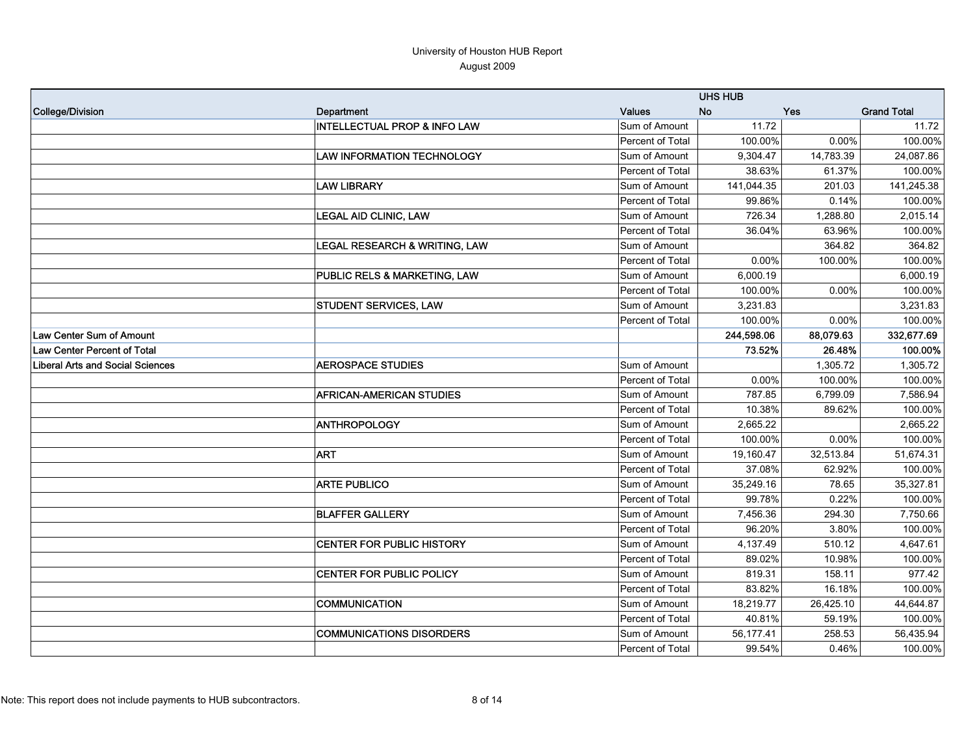|                                         |                                          |                  | <b>UHS HUB</b> |           |                    |
|-----------------------------------------|------------------------------------------|------------------|----------------|-----------|--------------------|
| College/Division                        | Department                               | <b>Values</b>    | <b>No</b>      | Yes       | <b>Grand Total</b> |
|                                         | <b>INTELLECTUAL PROP &amp; INFO LAW</b>  | Sum of Amount    | 11.72          |           | 11.72              |
|                                         |                                          | Percent of Total | 100.00%        | 0.00%     | 100.00%            |
|                                         | <b>LAW INFORMATION TECHNOLOGY</b>        | Sum of Amount    | 9,304.47       | 14,783.39 | 24,087.86          |
|                                         |                                          | Percent of Total | 38.63%         | 61.37%    | 100.00%            |
|                                         | <b>LAW LIBRARY</b>                       | Sum of Amount    | 141,044.35     | 201.03    | 141,245.38         |
|                                         |                                          | Percent of Total | 99.86%         | 0.14%     | 100.00%            |
|                                         | <b>LEGAL AID CLINIC, LAW</b>             | Sum of Amount    | 726.34         | 1,288.80  | 2,015.14           |
|                                         |                                          | Percent of Total | 36.04%         | 63.96%    | 100.00%            |
|                                         | <b>LEGAL RESEARCH &amp; WRITING, LAW</b> | Sum of Amount    |                | 364.82    | 364.82             |
|                                         |                                          | Percent of Total | 0.00%          | 100.00%   | 100.00%            |
|                                         | PUBLIC RELS & MARKETING, LAW             | Sum of Amount    | 6,000.19       |           | 6,000.19           |
|                                         |                                          | Percent of Total | 100.00%        | 0.00%     | 100.00%            |
|                                         | <b>STUDENT SERVICES, LAW</b>             | Sum of Amount    | 3,231.83       |           | 3,231.83           |
|                                         |                                          | Percent of Total | 100.00%        | $0.00\%$  | 100.00%            |
| Law Center Sum of Amount                |                                          |                  | 244,598.06     | 88,079.63 | 332,677.69         |
| Law Center Percent of Total             |                                          |                  | 73.52%         | 26.48%    | 100.00%            |
| <b>Liberal Arts and Social Sciences</b> | <b>AEROSPACE STUDIES</b>                 | Sum of Amount    |                | 1,305.72  | 1,305.72           |
|                                         |                                          | Percent of Total | 0.00%          | 100.00%   | 100.00%            |
|                                         | <b>AFRICAN-AMERICAN STUDIES</b>          | Sum of Amount    | 787.85         | 6,799.09  | 7,586.94           |
|                                         |                                          | Percent of Total | 10.38%         | 89.62%    | 100.00%            |
|                                         | ANTHROPOLOGY                             | Sum of Amount    | 2,665.22       |           | 2,665.22           |
|                                         |                                          | Percent of Total | 100.00%        | 0.00%     | 100.00%            |
|                                         | <b>ART</b>                               | Sum of Amount    | 19,160.47      | 32,513.84 | 51,674.31          |
|                                         |                                          | Percent of Total | 37.08%         | 62.92%    | 100.00%            |
|                                         | <b>ARTE PUBLICO</b>                      | Sum of Amount    | 35,249.16      | 78.65     | 35,327.81          |
|                                         |                                          | Percent of Total | 99.78%         | 0.22%     | 100.00%            |
|                                         | <b>BLAFFER GALLERY</b>                   | Sum of Amount    | 7,456.36       | 294.30    | 7,750.66           |
|                                         |                                          | Percent of Total | 96.20%         | 3.80%     | 100.00%            |
|                                         | CENTER FOR PUBLIC HISTORY                | Sum of Amount    | 4,137.49       | 510.12    | 4,647.61           |
|                                         |                                          | Percent of Total | 89.02%         | 10.98%    | 100.00%            |
|                                         | CENTER FOR PUBLIC POLICY                 | Sum of Amount    | 819.31         | 158.11    | 977.42             |
|                                         |                                          | Percent of Total | 83.82%         | 16.18%    | 100.00%            |
|                                         | COMMUNICATION                            | Sum of Amount    | 18,219.77      | 26,425.10 | 44,644.87          |
|                                         |                                          | Percent of Total | 40.81%         | 59.19%    | 100.00%            |
|                                         | <b>COMMUNICATIONS DISORDERS</b>          | Sum of Amount    | 56,177.41      | 258.53    | 56,435.94          |
|                                         |                                          | Percent of Total | 99.54%         | 0.46%     | 100.00%            |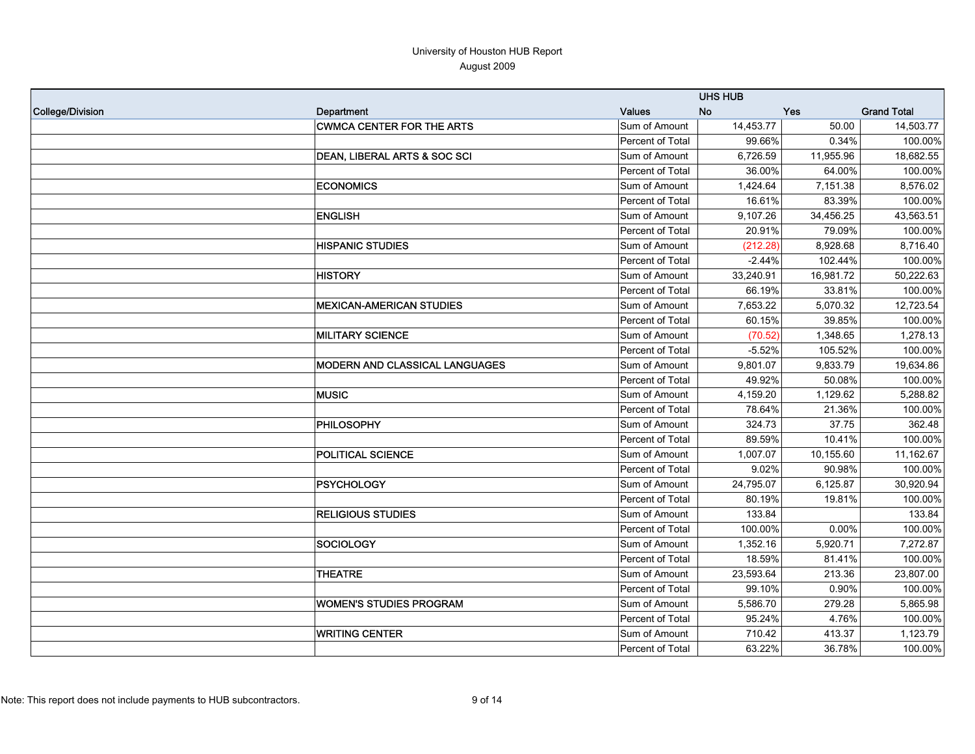|                  |                                       |                  | <b>UHS HUB</b> |           |                    |
|------------------|---------------------------------------|------------------|----------------|-----------|--------------------|
| College/Division | Department                            | <b>Values</b>    | <b>No</b>      | Yes       | <b>Grand Total</b> |
|                  | <b>CWMCA CENTER FOR THE ARTS</b>      | Sum of Amount    | 14,453.77      | 50.00     | 14,503.77          |
|                  |                                       | Percent of Total | 99.66%         | 0.34%     | 100.00%            |
|                  | IDEAN, LIBERAL ARTS & SOC SCI         | Sum of Amount    | 6,726.59       | 11,955.96 | 18,682.55          |
|                  |                                       | Percent of Total | 36.00%         | 64.00%    | 100.00%            |
|                  | <b>ECONOMICS</b>                      | Sum of Amount    | 1,424.64       | 7,151.38  | 8,576.02           |
|                  |                                       | Percent of Total | 16.61%         | 83.39%    | 100.00%            |
|                  | <b>ENGLISH</b>                        | Sum of Amount    | 9,107.26       | 34,456.25 | 43,563.51          |
|                  |                                       | Percent of Total | 20.91%         | 79.09%    | 100.00%            |
|                  | <b>HISPANIC STUDIES</b>               | Sum of Amount    | (212.28)       | 8,928.68  | 8,716.40           |
|                  |                                       | Percent of Total | $-2.44%$       | 102.44%   | 100.00%            |
|                  | <b>HISTORY</b>                        | Sum of Amount    | 33,240.91      | 16,981.72 | 50,222.63          |
|                  |                                       | Percent of Total | 66.19%         | 33.81%    | 100.00%            |
|                  | <b>MEXICAN-AMERICAN STUDIES</b>       | Sum of Amount    | 7,653.22       | 5,070.32  | 12,723.54          |
|                  |                                       | Percent of Total | 60.15%         | 39.85%    | 100.00%            |
|                  | <b>MILITARY SCIENCE</b>               | Sum of Amount    | (70.52)        | 1,348.65  | 1,278.13           |
|                  |                                       | Percent of Total | $-5.52%$       | 105.52%   | 100.00%            |
|                  | <b>MODERN AND CLASSICAL LANGUAGES</b> | Sum of Amount    | 9,801.07       | 9,833.79  | 19,634.86          |
|                  |                                       | Percent of Total | 49.92%         | 50.08%    | 100.00%            |
|                  | <b>MUSIC</b>                          | Sum of Amount    | 4,159.20       | 1,129.62  | 5,288.82           |
|                  |                                       | Percent of Total | 78.64%         | 21.36%    | 100.00%            |
|                  | PHILOSOPHY                            | Sum of Amount    | 324.73         | 37.75     | 362.48             |
|                  |                                       | Percent of Total | 89.59%         | 10.41%    | 100.00%            |
|                  | POLITICAL SCIENCE                     | Sum of Amount    | 1,007.07       | 10,155.60 | 11,162.67          |
|                  |                                       | Percent of Total | 9.02%          | 90.98%    | 100.00%            |
|                  | PSYCHOLOGY                            | Sum of Amount    | 24,795.07      | 6,125.87  | 30,920.94          |
|                  |                                       | Percent of Total | 80.19%         | 19.81%    | 100.00%            |
|                  | <b>RELIGIOUS STUDIES</b>              | Sum of Amount    | 133.84         |           | 133.84             |
|                  |                                       | Percent of Total | 100.00%        | 0.00%     | 100.00%            |
|                  | <b>SOCIOLOGY</b>                      | Sum of Amount    | 1,352.16       | 5,920.71  | 7,272.87           |
|                  |                                       | Percent of Total | 18.59%         | 81.41%    | 100.00%            |
|                  | <b>THEATRE</b>                        | Sum of Amount    | 23,593.64      | 213.36    | 23,807.00          |
|                  |                                       | Percent of Total | 99.10%         | 0.90%     | 100.00%            |
|                  | <b>WOMEN'S STUDIES PROGRAM</b>        | Sum of Amount    | 5,586.70       | 279.28    | 5,865.98           |
|                  |                                       | Percent of Total | 95.24%         | 4.76%     | 100.00%            |
|                  | <b>WRITING CENTER</b>                 | Sum of Amount    | 710.42         | 413.37    | 1,123.79           |
|                  |                                       | Percent of Total | 63.22%         | 36.78%    | 100.00%            |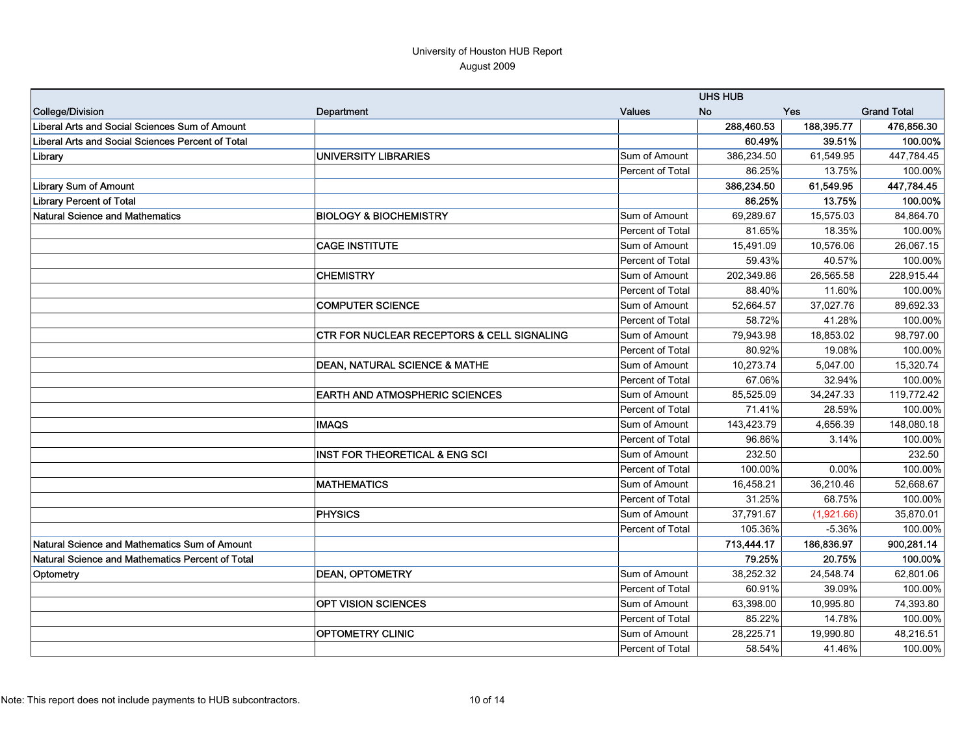|                                                   |                                                       |                         | <b>UHS HUB</b> |            |                    |
|---------------------------------------------------|-------------------------------------------------------|-------------------------|----------------|------------|--------------------|
| College/Division                                  | Department                                            | <b>Values</b>           | <b>No</b>      | Yes        | <b>Grand Total</b> |
| Liberal Arts and Social Sciences Sum of Amount    |                                                       |                         | 288,460.53     | 188,395.77 | 476,856.30         |
| Liberal Arts and Social Sciences Percent of Total |                                                       |                         | 60.49%         | 39.51%     | 100.00%            |
| Library                                           | <b>UNIVERSITY LIBRARIES</b>                           | Sum of Amount           | 386,234.50     | 61,549.95  | 447,784.45         |
|                                                   |                                                       | Percent of Total        | 86.25%         | 13.75%     | 100.00%            |
| <b>Library Sum of Amount</b>                      |                                                       |                         | 386,234.50     | 61,549.95  | 447,784.45         |
| <b>Library Percent of Total</b>                   |                                                       |                         | 86.25%         | 13.75%     | 100.00%            |
| Natural Science and Mathematics                   | <b>BIOLOGY &amp; BIOCHEMISTRY</b>                     | Sum of Amount           | 69,289.67      | 15,575.03  | 84,864.70          |
|                                                   |                                                       | <b>Percent of Total</b> | 81.65%         | 18.35%     | 100.00%            |
|                                                   | <b>CAGE INSTITUTE</b>                                 | Sum of Amount           | 15,491.09      | 10,576.06  | 26,067.15          |
|                                                   |                                                       | <b>Percent of Total</b> | 59.43%         | 40.57%     | 100.00%            |
|                                                   | <b>CHEMISTRY</b>                                      | Sum of Amount           | 202,349.86     | 26,565.58  | 228,915.44         |
|                                                   |                                                       | Percent of Total        | 88.40%         | 11.60%     | 100.00%            |
|                                                   | <b>COMPUTER SCIENCE</b>                               | Sum of Amount           | 52,664.57      | 37,027.76  | 89,692.33          |
|                                                   |                                                       | Percent of Total        | 58.72%         | 41.28%     | 100.00%            |
|                                                   | <b>CTR FOR NUCLEAR RECEPTORS &amp; CELL SIGNALING</b> | Sum of Amount           | 79,943.98      | 18,853.02  | 98,797.00          |
|                                                   |                                                       | Percent of Total        | 80.92%         | 19.08%     | 100.00%            |
|                                                   | <b>DEAN, NATURAL SCIENCE &amp; MATHE</b>              | Sum of Amount           | 10,273.74      | 5,047.00   | 15,320.74          |
|                                                   |                                                       | Percent of Total        | 67.06%         | 32.94%     | 100.00%            |
|                                                   | <b>EARTH AND ATMOSPHERIC SCIENCES</b>                 | Sum of Amount           | 85,525.09      | 34,247.33  | 119,772.42         |
|                                                   |                                                       | Percent of Total        | 71.41%         | 28.59%     | 100.00%            |
|                                                   | <b>IMAQS</b>                                          | Sum of Amount           | 143,423.79     | 4,656.39   | 148,080.18         |
|                                                   |                                                       | Percent of Total        | 96.86%         | 3.14%      | 100.00%            |
|                                                   | INST FOR THEORETICAL & ENG SCI                        | Sum of Amount           | 232.50         |            | 232.50             |
|                                                   |                                                       | Percent of Total        | 100.00%        | 0.00%      | 100.00%            |
|                                                   | <b>MATHEMATICS</b>                                    | Sum of Amount           | 16,458.21      | 36,210.46  | 52,668.67          |
|                                                   |                                                       | Percent of Total        | 31.25%         | 68.75%     | 100.00%            |
|                                                   | <b>PHYSICS</b>                                        | Sum of Amount           | 37,791.67      | (1,921.66) | 35,870.01          |
|                                                   |                                                       | Percent of Total        | 105.36%        | $-5.36%$   | 100.00%            |
| Natural Science and Mathematics Sum of Amount     |                                                       |                         | 713,444.17     | 186.836.97 | 900,281.14         |
| Natural Science and Mathematics Percent of Total  |                                                       |                         | 79.25%         | 20.75%     | 100.00%            |
| Optometry                                         | <b>DEAN, OPTOMETRY</b>                                | Sum of Amount           | 38,252.32      | 24,548.74  | 62,801.06          |
|                                                   |                                                       | Percent of Total        | 60.91%         | 39.09%     | 100.00%            |
|                                                   | <b>OPT VISION SCIENCES</b>                            | Sum of Amount           | 63,398.00      | 10,995.80  | 74,393.80          |
|                                                   |                                                       | Percent of Total        | 85.22%         | 14.78%     | 100.00%            |
|                                                   | <b>OPTOMETRY CLINIC</b>                               | Sum of Amount           | 28,225.71      | 19,990.80  | 48,216.51          |
|                                                   |                                                       | Percent of Total        | 58.54%         | 41.46%     | 100.00%            |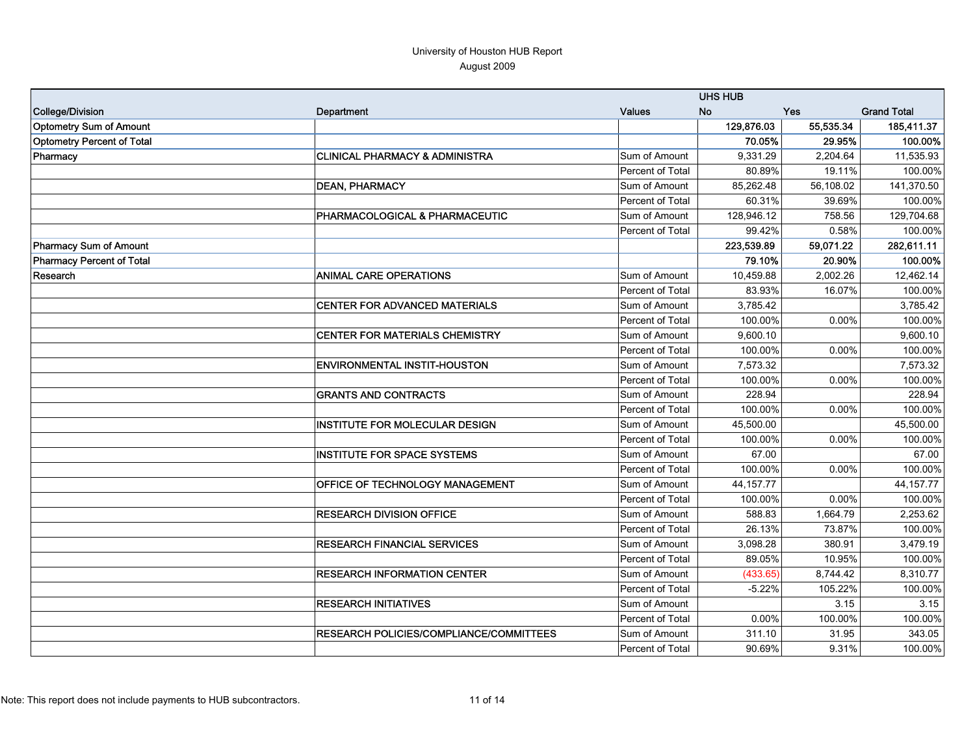|                                   |                                           |                  | <b>UHS HUB</b> |           |                    |
|-----------------------------------|-------------------------------------------|------------------|----------------|-----------|--------------------|
| <b>College/Division</b>           | Department                                | <b>Values</b>    | <b>No</b>      | Yes       | <b>Grand Total</b> |
| <b>Optometry Sum of Amount</b>    |                                           |                  | 129,876.03     | 55,535.34 | 185,411.37         |
| <b>Optometry Percent of Total</b> |                                           |                  | 70.05%         | 29.95%    | 100.00%            |
| Pharmacy                          | <b>CLINICAL PHARMACY &amp; ADMINISTRA</b> | Sum of Amount    | 9,331.29       | 2,204.64  | 11,535.93          |
|                                   |                                           | Percent of Total | 80.89%         | 19.11%    | 100.00%            |
|                                   | <b>DEAN, PHARMACY</b>                     | Sum of Amount    | 85,262.48      | 56,108.02 | 141,370.50         |
|                                   |                                           | Percent of Total | 60.31%         | 39.69%    | 100.00%            |
|                                   | PHARMACOLOGICAL & PHARMACEUTIC            | Sum of Amount    | 128,946.12     | 758.56    | 129,704.68         |
|                                   |                                           | Percent of Total | 99.42%         | 0.58%     | 100.00%            |
| <b>Pharmacy Sum of Amount</b>     |                                           |                  | 223,539.89     | 59,071.22 | 282,611.11         |
| <b>Pharmacy Percent of Total</b>  |                                           |                  | 79.10%         | 20.90%    | 100.00%            |
| Research                          | <b>ANIMAL CARE OPERATIONS</b>             | Sum of Amount    | 10,459.88      | 2,002.26  | 12,462.14          |
|                                   |                                           | Percent of Total | 83.93%         | 16.07%    | 100.00%            |
|                                   | <b>CENTER FOR ADVANCED MATERIALS</b>      | Sum of Amount    | 3,785.42       |           | 3,785.42           |
|                                   |                                           | Percent of Total | 100.00%        | 0.00%     | 100.00%            |
|                                   | <b>CENTER FOR MATERIALS CHEMISTRY</b>     | Sum of Amount    | 9,600.10       |           | 9,600.10           |
|                                   |                                           | Percent of Total | 100.00%        | 0.00%     | 100.00%            |
|                                   | <b>ENVIRONMENTAL INSTIT-HOUSTON</b>       | Sum of Amount    | 7,573.32       |           | 7,573.32           |
|                                   |                                           | Percent of Total | 100.00%        | 0.00%     | 100.00%            |
|                                   | <b>GRANTS AND CONTRACTS</b>               | Sum of Amount    | 228.94         |           | 228.94             |
|                                   |                                           | Percent of Total | 100.00%        | 0.00%     | 100.00%            |
|                                   | <b>INSTITUTE FOR MOLECULAR DESIGN</b>     | Sum of Amount    | 45,500.00      |           | 45,500.00          |
|                                   |                                           | Percent of Total | 100.00%        | 0.00%     | 100.00%            |
|                                   | <b>INSTITUTE FOR SPACE SYSTEMS</b>        | Sum of Amount    | 67.00          |           | 67.00              |
|                                   |                                           | Percent of Total | 100.00%        | 0.00%     | 100.00%            |
|                                   | OFFICE OF TECHNOLOGY MANAGEMENT           | Sum of Amount    | 44, 157. 77    |           | 44, 157. 77        |
|                                   |                                           | Percent of Total | 100.00%        | 0.00%     | 100.00%            |
|                                   | <b>RESEARCH DIVISION OFFICE</b>           | Sum of Amount    | 588.83         | 1,664.79  | 2,253.62           |
|                                   |                                           | Percent of Total | 26.13%         | 73.87%    | 100.00%            |
|                                   | <b>RESEARCH FINANCIAL SERVICES</b>        | Sum of Amount    | 3,098.28       | 380.91    | 3,479.19           |
|                                   |                                           | Percent of Total | 89.05%         | 10.95%    | 100.00%            |
|                                   | <b>RESEARCH INFORMATION CENTER</b>        | Sum of Amount    | (433.65)       | 8,744.42  | 8,310.77           |
|                                   |                                           | Percent of Total | $-5.22%$       | 105.22%   | 100.00%            |
|                                   | <b>RESEARCH INITIATIVES</b>               | Sum of Amount    |                | 3.15      | 3.15               |
|                                   |                                           | Percent of Total | 0.00%          | 100.00%   | 100.00%            |
|                                   | RESEARCH POLICIES/COMPLIANCE/COMMITTEES   | Sum of Amount    | 311.10         | 31.95     | 343.05             |
|                                   |                                           | Percent of Total | 90.69%         | 9.31%     | 100.00%            |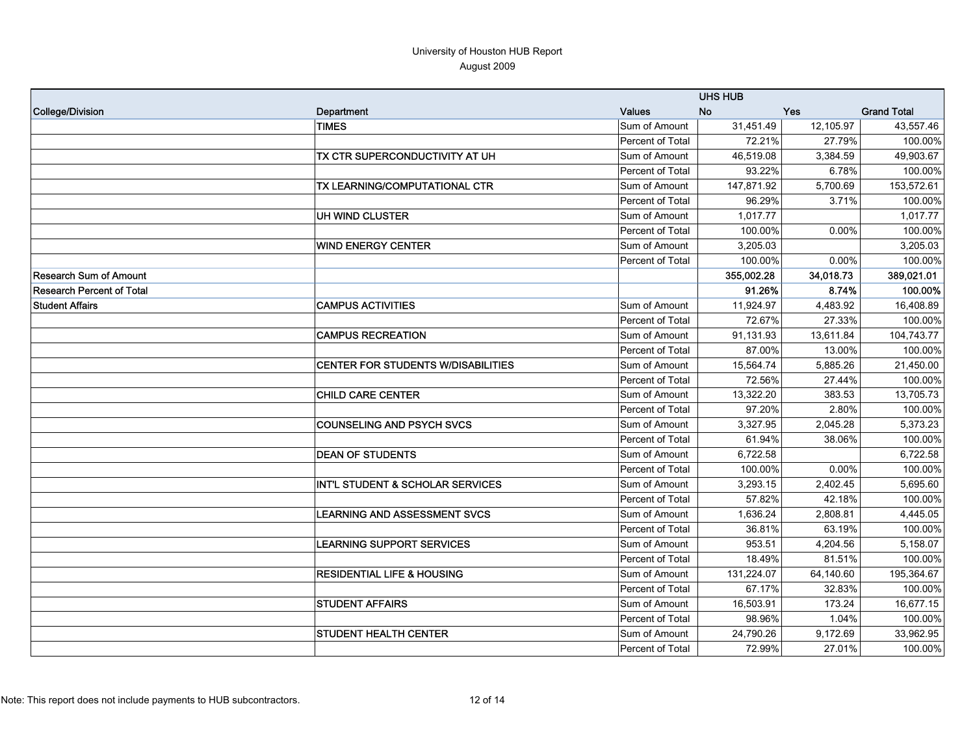|                               |                                             |                  | <b>UHS HUB</b> |            |                    |
|-------------------------------|---------------------------------------------|------------------|----------------|------------|--------------------|
| College/Division              | Department                                  | <b>Values</b>    | No             | <b>Yes</b> | <b>Grand Total</b> |
|                               | <b>TIMES</b>                                | Sum of Amount    | 31,451.49      | 12,105.97  | 43,557.46          |
|                               |                                             | Percent of Total | 72.21%         | 27.79%     | 100.00%            |
|                               | TX CTR SUPERCONDUCTIVITY AT UH              | Sum of Amount    | 46,519.08      | 3,384.59   | 49,903.67          |
|                               |                                             | Percent of Total | 93.22%         | 6.78%      | 100.00%            |
|                               | <b>TX LEARNING/COMPUTATIONAL CTR</b>        | Sum of Amount    | 147,871.92     | 5,700.69   | 153,572.61         |
|                               |                                             | Percent of Total | 96.29%         | 3.71%      | 100.00%            |
|                               | UH WIND CLUSTER                             | Sum of Amount    | 1,017.77       |            | 1,017.77           |
|                               |                                             | Percent of Total | 100.00%        | 0.00%      | 100.00%            |
|                               | <b>WIND ENERGY CENTER</b>                   | Sum of Amount    | 3,205.03       |            | 3,205.03           |
|                               |                                             | Percent of Total | 100.00%        | 0.00%      | 100.00%            |
| <b>Research Sum of Amount</b> |                                             |                  | 355,002.28     | 34,018.73  | 389,021.01         |
| Research Percent of Total     |                                             |                  | 91.26%         | 8.74%      | 100.00%            |
| <b>Student Affairs</b>        | <b>CAMPUS ACTIVITIES</b>                    | Sum of Amount    | 11,924.97      | 4,483.92   | 16,408.89          |
|                               |                                             | Percent of Total | 72.67%         | 27.33%     | 100.00%            |
|                               | <b>CAMPUS RECREATION</b>                    | Sum of Amount    | 91,131.93      | 13,611.84  | 104,743.77         |
|                               |                                             | Percent of Total | 87.00%         | 13.00%     | 100.00%            |
|                               | <b>CENTER FOR STUDENTS W/DISABILITIES</b>   | Sum of Amount    | 15,564.74      | 5,885.26   | 21,450.00          |
|                               |                                             | Percent of Total | 72.56%         | 27.44%     | 100.00%            |
|                               | <b>CHILD CARE CENTER</b>                    | Sum of Amount    | 13,322.20      | 383.53     | 13,705.73          |
|                               |                                             | Percent of Total | 97.20%         | 2.80%      | 100.00%            |
|                               | <b>COUNSELING AND PSYCH SVCS</b>            | Sum of Amount    | 3,327.95       | 2,045.28   | 5,373.23           |
|                               |                                             | Percent of Total | 61.94%         | 38.06%     | 100.00%            |
|                               | <b>DEAN OF STUDENTS</b>                     | Sum of Amount    | 6,722.58       |            | 6,722.58           |
|                               |                                             | Percent of Total | 100.00%        | 0.00%      | 100.00%            |
|                               | <b>INT'L STUDENT &amp; SCHOLAR SERVICES</b> | Sum of Amount    | 3,293.15       | 2,402.45   | 5,695.60           |
|                               |                                             | Percent of Total | 57.82%         | 42.18%     | 100.00%            |
|                               | <b>LEARNING AND ASSESSMENT SVCS</b>         | Sum of Amount    | 1,636.24       | 2,808.81   | 4,445.05           |
|                               |                                             | Percent of Total | 36.81%         | 63.19%     | 100.00%            |
|                               | <b>LEARNING SUPPORT SERVICES</b>            | Sum of Amount    | 953.51         | 4,204.56   | 5,158.07           |
|                               |                                             | Percent of Total | 18.49%         | 81.51%     | 100.00%            |
|                               | <b>RESIDENTIAL LIFE &amp; HOUSING</b>       | Sum of Amount    | 131,224.07     | 64,140.60  | 195,364.67         |
|                               |                                             | Percent of Total | 67.17%         | 32.83%     | 100.00%            |
|                               | <b>STUDENT AFFAIRS</b>                      | Sum of Amount    | 16,503.91      | 173.24     | 16,677.15          |
|                               |                                             | Percent of Total | 98.96%         | 1.04%      | 100.00%            |
|                               | <b>STUDENT HEALTH CENTER</b>                | Sum of Amount    | 24,790.26      | 9,172.69   | 33,962.95          |
|                               |                                             | Percent of Total | 72.99%         | 27.01%     | 100.00%            |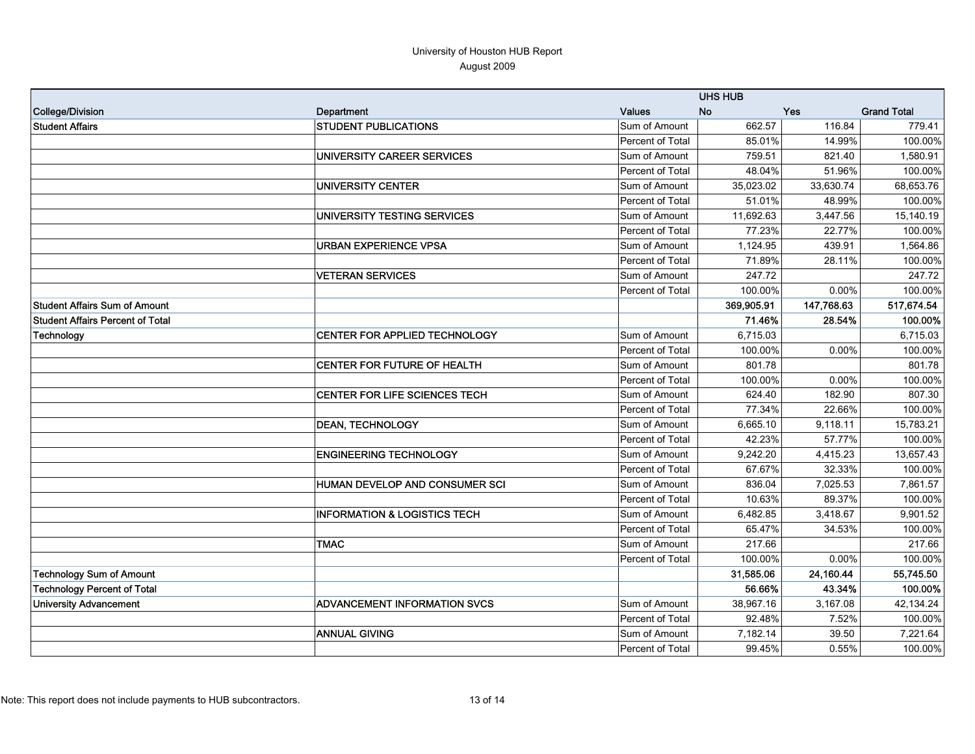|                                         |                                         | <b>UHS HUB</b>   |            |            |                    |
|-----------------------------------------|-----------------------------------------|------------------|------------|------------|--------------------|
| College/Division                        | Department                              | <b>Values</b>    | <b>No</b>  | Yes        | <b>Grand Total</b> |
| <b>Student Affairs</b>                  | <b>STUDENT PUBLICATIONS</b>             | Sum of Amount    | 662.57     | 116.84     | 779.41             |
|                                         |                                         | Percent of Total | 85.01%     | 14.99%     | 100.00%            |
|                                         | UNIVERSITY CAREER SERVICES              | Sum of Amount    | 759.51     | 821.40     | 1,580.91           |
|                                         |                                         | Percent of Total | 48.04%     | 51.96%     | 100.00%            |
|                                         | UNIVERSITY CENTER                       | Sum of Amount    | 35,023.02  | 33,630.74  | 68,653.76          |
|                                         |                                         | Percent of Total | 51.01%     | 48.99%     | 100.00%            |
|                                         | UNIVERSITY TESTING SERVICES             | Sum of Amount    | 11,692.63  | 3,447.56   | 15,140.19          |
|                                         |                                         | Percent of Total | 77.23%     | 22.77%     | 100.00%            |
|                                         | <b>URBAN EXPERIENCE VPSA</b>            | Sum of Amount    | 1,124.95   | 439.91     | 1,564.86           |
|                                         |                                         | Percent of Total | 71.89%     | 28.11%     | 100.00%            |
|                                         | <b>VETERAN SERVICES</b>                 | Sum of Amount    | 247.72     |            | 247.72             |
|                                         |                                         | Percent of Total | 100.00%    | 0.00%      | 100.00%            |
| Student Affairs Sum of Amount           |                                         |                  | 369,905.91 | 147,768.63 | 517,674.54         |
| <b>Student Affairs Percent of Total</b> |                                         |                  | 71.46%     | 28.54%     | 100.00%            |
| Technology                              | <b>CENTER FOR APPLIED TECHNOLOGY</b>    | Sum of Amount    | 6,715.03   |            | 6,715.03           |
|                                         |                                         | Percent of Total | 100.00%    | 0.00%      | 100.00%            |
|                                         | <b>CENTER FOR FUTURE OF HEALTH</b>      | Sum of Amount    | 801.78     |            | 801.78             |
|                                         |                                         | Percent of Total | 100.00%    | 0.00%      | 100.00%            |
|                                         | CENTER FOR LIFE SCIENCES TECH           | Sum of Amount    | 624.40     | 182.90     | 807.30             |
|                                         |                                         | Percent of Total | 77.34%     | 22.66%     | 100.00%            |
|                                         | <b>DEAN, TECHNOLOGY</b>                 | Sum of Amount    | 6,665.10   | 9,118.11   | 15,783.21          |
|                                         |                                         | Percent of Total | 42.23%     | 57.77%     | 100.00%            |
|                                         | <b>ENGINEERING TECHNOLOGY</b>           | Sum of Amount    | 9,242.20   | 4,415.23   | 13,657.43          |
|                                         |                                         | Percent of Total | 67.67%     | 32.33%     | 100.00%            |
|                                         | HUMAN DEVELOP AND CONSUMER SCI          | Sum of Amount    | 836.04     | 7,025.53   | 7,861.57           |
|                                         |                                         | Percent of Total | 10.63%     | 89.37%     | 100.00%            |
|                                         | <b>INFORMATION &amp; LOGISTICS TECH</b> | Sum of Amount    | 6,482.85   | 3,418.67   | 9,901.52           |
|                                         |                                         | Percent of Total | 65.47%     | 34.53%     | 100.00%            |
|                                         | <b>TMAC</b>                             | Sum of Amount    | 217.66     |            | 217.66             |
|                                         |                                         | Percent of Total | 100.00%    | 0.00%      | 100.00%            |
| <b>Technology Sum of Amount</b>         |                                         |                  | 31,585.06  | 24,160.44  | 55,745.50          |
| <b>Technology Percent of Total</b>      |                                         |                  | 56.66%     | 43.34%     | 100.00%            |
| <b>University Advancement</b>           | <b>ADVANCEMENT INFORMATION SVCS</b>     | Sum of Amount    | 38,967.16  | 3,167.08   | 42,134.24          |
|                                         |                                         | Percent of Total | 92.48%     | 7.52%      | 100.00%            |
|                                         | <b>ANNUAL GIVING</b>                    | Sum of Amount    | 7,182.14   | 39.50      | 7,221.64           |
|                                         |                                         | Percent of Total | 99.45%     | 0.55%      | 100.00%            |